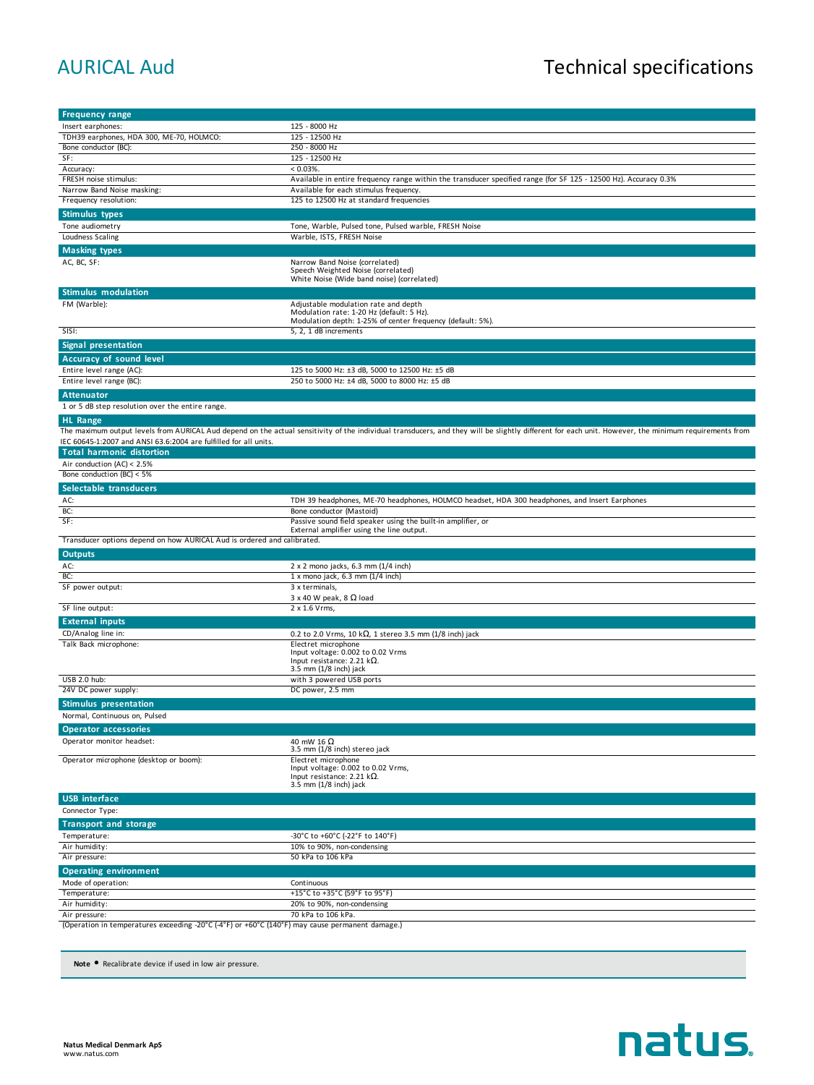## AURICAL Aud<br>
Technical specifications

| <b>Frequency range</b>                                                                          |                                                                                                                                                                                                      |
|-------------------------------------------------------------------------------------------------|------------------------------------------------------------------------------------------------------------------------------------------------------------------------------------------------------|
| Insert earphones:                                                                               | 125 - 8000 Hz                                                                                                                                                                                        |
| TDH39 earphones, HDA 300, ME-70, HOLMCO:                                                        | 125 - 12500 Hz                                                                                                                                                                                       |
| Bone conductor (BC):                                                                            | 250 - 8000 Hz                                                                                                                                                                                        |
| SF:                                                                                             | 125 - 12500 Hz                                                                                                                                                                                       |
| Accuracy:                                                                                       | $< 0.03\%$ .                                                                                                                                                                                         |
| FRESH noise stimulus:                                                                           | Available in entire frequency range within the transducer specified range (for SF 125 - 12500 Hz). Accuracy 0.3%                                                                                     |
| Narrow Band Noise masking:<br>Frequency resolution:                                             | Available for each stimulus frequency.<br>125 to 12500 Hz at standard frequencies                                                                                                                    |
|                                                                                                 |                                                                                                                                                                                                      |
| <b>Stimulus types</b>                                                                           |                                                                                                                                                                                                      |
| Tone audiometry                                                                                 | Tone, Warble, Pulsed tone, Pulsed warble, FRESH Noise                                                                                                                                                |
| Loudness Scaling                                                                                | Warble, ISTS, FRESH Noise                                                                                                                                                                            |
| <b>Masking types</b>                                                                            |                                                                                                                                                                                                      |
| AC, BC, SF:                                                                                     | Narrow Band Noise (correlated)<br>Speech Weighted Noise (correlated)<br>White Noise (Wide band noise) (correlated)                                                                                   |
| <b>Stimulus modulation</b>                                                                      |                                                                                                                                                                                                      |
| FM (Warble):                                                                                    | Adjustable modulation rate and depth                                                                                                                                                                 |
|                                                                                                 | Modulation rate: 1-20 Hz (default: 5 Hz).                                                                                                                                                            |
|                                                                                                 | Modulation depth: 1-25% of center frequency (default: 5%).                                                                                                                                           |
| SISI:                                                                                           | 5, 2, 1 dB increments                                                                                                                                                                                |
| <b>Signal presentation</b>                                                                      |                                                                                                                                                                                                      |
| Accuracy of sound level                                                                         |                                                                                                                                                                                                      |
| Entire level range (AC):                                                                        | 125 to 5000 Hz: ±3 dB, 5000 to 12500 Hz: ±5 dB                                                                                                                                                       |
| Entire level range (BC):                                                                        | 250 to 5000 Hz: ±4 dB, 5000 to 8000 Hz: ±5 dB                                                                                                                                                        |
| <b>Attenuator</b>                                                                               |                                                                                                                                                                                                      |
| 1 or 5 dB step resolution over the entire range.                                                |                                                                                                                                                                                                      |
| <b>HL Range</b>                                                                                 |                                                                                                                                                                                                      |
|                                                                                                 | The maximum output levels from AURICAL Aud depend on the actual sensitivity of the individual transducers, and they will be slightly different for each unit. However, the minimum requirements from |
| IEC 60645-1:2007 and ANSI 63.6:2004 are fulfilled for all units.                                |                                                                                                                                                                                                      |
| <b>Total harmonic distortion</b>                                                                |                                                                                                                                                                                                      |
| Air conduction (AC) < 2.5%                                                                      |                                                                                                                                                                                                      |
| Bone conduction (BC) < $5\%$                                                                    |                                                                                                                                                                                                      |
| Selectable transducers                                                                          |                                                                                                                                                                                                      |
| AC:                                                                                             | TDH 39 headphones, ME-70 headphones, HOLMCO headset, HDA 300 headphones, and Insert Earphones                                                                                                        |
| BC:                                                                                             | Bone conductor (Mastoid)                                                                                                                                                                             |
| SF:                                                                                             | Passive sound field speaker using the built-in amplifier, or                                                                                                                                         |
|                                                                                                 | External amplifier using the line output.                                                                                                                                                            |
| Transducer options depend on how AURICAL Aud is ordered and calibrated.                         |                                                                                                                                                                                                      |
| <b>Outputs</b>                                                                                  |                                                                                                                                                                                                      |
| AC:                                                                                             | 2 x 2 mono jacks, 6.3 mm (1/4 inch)                                                                                                                                                                  |
| BC:                                                                                             | 1 x mono jack, 6.3 mm (1/4 inch)                                                                                                                                                                     |
| SF power output:                                                                                | 3 x terminals,                                                                                                                                                                                       |
|                                                                                                 | 3 x 40 W peak, 8 $\Omega$ load                                                                                                                                                                       |
| SF line output:                                                                                 | 2 x 1.6 Vrms,                                                                                                                                                                                        |
| <b>External inputs</b>                                                                          |                                                                                                                                                                                                      |
| CD/Analog line in:                                                                              | 0.2 to 2.0 Vrms, 10 k $\Omega$ , 1 stereo 3.5 mm (1/8 inch) jack                                                                                                                                     |
| Talk Back microphone:                                                                           | Electret microphone<br>Input voltage: 0.002 to 0.02 Vrms                                                                                                                                             |
|                                                                                                 | Input resistance: 2.21 k $\Omega$ .                                                                                                                                                                  |
|                                                                                                 | $3.5$ mm $(1/8$ inch) jack                                                                                                                                                                           |
| USB 2.0 hub:                                                                                    | with 3 powered USB ports                                                                                                                                                                             |
| 24V DC power supply:                                                                            | DC power, 2.5 mm                                                                                                                                                                                     |
| <b>Stimulus presentation</b>                                                                    |                                                                                                                                                                                                      |
| Normal, Continuous on, Pulsed                                                                   |                                                                                                                                                                                                      |
| <b>Operator accessories</b>                                                                     |                                                                                                                                                                                                      |
| Operator monitor headset:                                                                       | 40 mW 16 $\Omega$                                                                                                                                                                                    |
|                                                                                                 | 3.5 mm (1/8 inch) stereo jack                                                                                                                                                                        |
| Operator microphone (desktop or boom):                                                          | Electret microphone<br>Input voltage: 0.002 to 0.02 Vrms,                                                                                                                                            |
|                                                                                                 | Input resistance: 2.21 k $\Omega$ .                                                                                                                                                                  |
|                                                                                                 | 3.5 mm (1/8 inch) jack                                                                                                                                                                               |
| <b>USB</b> interface                                                                            |                                                                                                                                                                                                      |
| Connector Type:                                                                                 |                                                                                                                                                                                                      |
| <b>Transport and storage</b>                                                                    |                                                                                                                                                                                                      |
| Temperature:                                                                                    | -30°C to +60°C (-22°F to 140°F)                                                                                                                                                                      |
| Air humidity:                                                                                   | 10% to 90%, non-condensing                                                                                                                                                                           |
| Air pressure:                                                                                   | 50 kPa to 106 kPa                                                                                                                                                                                    |
| <b>Operating environment</b>                                                                    |                                                                                                                                                                                                      |
| Mode of operation:                                                                              | Continuous                                                                                                                                                                                           |
| Temperature:                                                                                    | +15°C to +35°C (59°F to 95°F)                                                                                                                                                                        |
| Air humidity:                                                                                   | 20% to 90%, non-condensing                                                                                                                                                                           |
| Air pressure:                                                                                   | 70 kPa to 106 kPa.                                                                                                                                                                                   |
| (Operation in temperatures exceeding -20°C (-4°F) or +60°C (140°F) may cause permanent damage.) |                                                                                                                                                                                                      |
|                                                                                                 |                                                                                                                                                                                                      |

**Note** • Recalibrate device if used in low air pressure.

## natus.